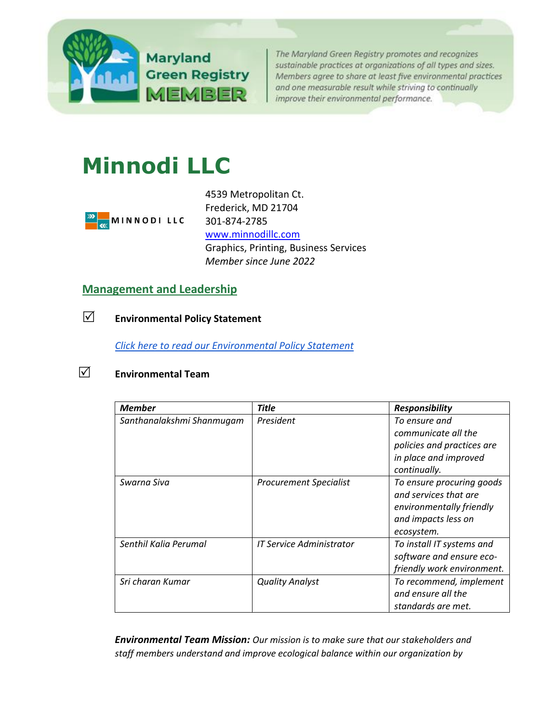

The Maryland Green Registry promotes and recognizes sustainable practices at organizations of all types and sizes. Members agree to share at least five environmental practices and one measurable result while striving to continually improve their environmental performance.

# **Minnodi LLC**



4539 Metropolitan Ct. Frederick, MD 21704 301-874-2785 [www.minnodillc.com](http://www.minnodillc.com/) Graphics, Printing, Business Services *Member since June 2022*

## **[Management and Leadership](http://mde.maryland.gov/marylandgreen/Pages/Management.aspx)**

**Environmental Policy Statement**

*[Click here to read our Environmental Policy Statement](https://img1.wsimg.com/blobby/go/fa0ffae3-67fb-45d3-9426-583d463148eb/downloads/Environmental%20Policy%20Statement%20Ver%201.0.pdf?ver=1654623633489)* 

## **Environmental Team**

| <b>Member</b>             | <b>Title</b>                  | <b>Responsibility</b>                                                                                               |
|---------------------------|-------------------------------|---------------------------------------------------------------------------------------------------------------------|
| Santhanalakshmi Shanmugam | President                     | To ensure and<br>communicate all the<br>policies and practices are<br>in place and improved<br>continually.         |
| Swarna Siva               | <b>Procurement Specialist</b> | To ensure procuring goods<br>and services that are<br>environmentally friendly<br>and impacts less on<br>ecosystem. |
| Senthil Kalia Perumal     | IT Service Administrator      | To install IT systems and<br>software and ensure eco-<br>friendly work environment.                                 |
| Sri charan Kumar          | <b>Quality Analyst</b>        | To recommend, implement<br>and ensure all the<br>standards are met.                                                 |

*Environmental Team Mission: Our mission is to make sure that our stakeholders and staff members understand and improve ecological balance within our organization by*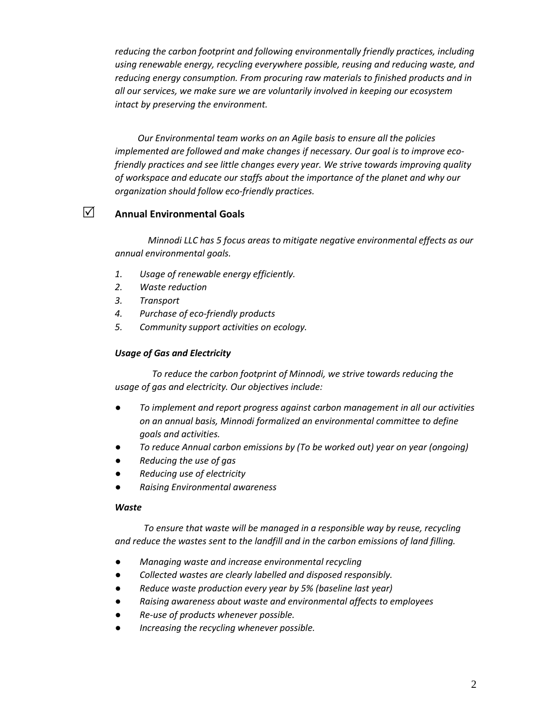*reducing the carbon footprint and following environmentally friendly practices, including using renewable energy, recycling everywhere possible, reusing and reducing waste, and reducing energy consumption. From procuring raw materials to finished products and in all our services, we make sure we are voluntarily involved in keeping our ecosystem intact by preserving the environment.*

 *Our Environmental team works on an Agile basis to ensure all the policies implemented are followed and make changes if necessary. Our goal is to improve ecofriendly practices and see little changes every year. We strive towards improving quality of workspace and educate our staffs about the importance of the planet and why our organization should follow eco-friendly practices.* 

## **Annual Environmental Goals**

*Minnodi LLC has 5 focus areas to mitigate negative environmental effects as our annual environmental goals.* 

- *1. Usage of renewable energy efficiently.*
- *2. Waste reduction*
- *3. Transport*
- *4. Purchase of eco-friendly products*
- *5. Community support activities on ecology.*

#### *Usage of Gas and Electricity*

*To reduce the carbon footprint of Minnodi, we strive towards reducing the usage of gas and electricity. Our objectives include:*

- *To implement and report progress against carbon management in all our activities on an annual basis, Minnodi formalized an environmental committee to define goals and activities.*
- *To reduce Annual carbon emissions by (To be worked out) year on year (ongoing)*
- *Reducing the use of gas*
- *Reducing use of electricity*
- *Raising Environmental awareness*

#### *Waste*

*To ensure that waste will be managed in a responsible way by reuse, recycling and reduce the wastes sent to the landfill and in the carbon emissions of land filling.* 

- *Managing waste and increase environmental recycling*
- *Collected wastes are clearly labelled and disposed responsibly.*
- *Reduce waste production every year by 5% (baseline last year)*
- *Raising awareness about waste and environmental affects to employees*
- *Re-use of products whenever possible.*
- Increasing the recycling whenever possible.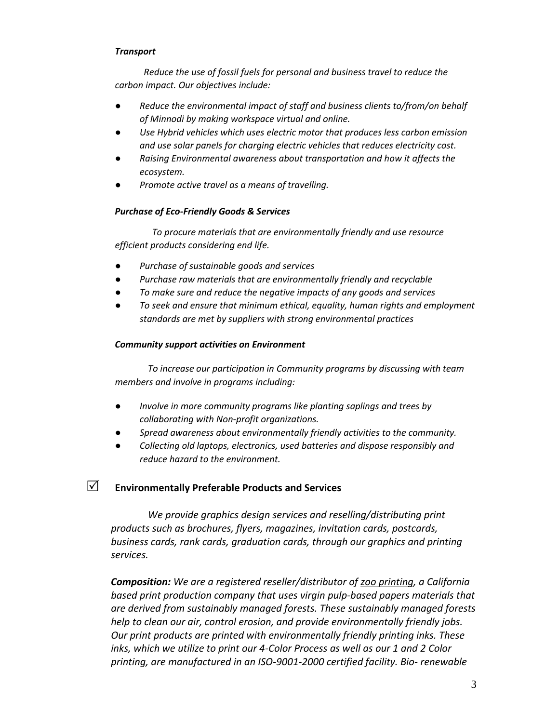#### *Transport*

*Reduce the use of fossil fuels for personal and business travel to reduce the carbon impact. Our objectives include:*

- *Reduce the environmental impact of staff and business clients to/from/on behalf of Minnodi by making workspace virtual and online.*
- Use Hybrid vehicles which uses electric motor that produces less carbon emission *and use solar panels for charging electric vehicles that reduces electricity cost.*
- *Raising Environmental awareness about transportation and how it affects the ecosystem.*
- Promote active travel as a means of travelling.

#### *Purchase of Eco-Friendly Goods & Services*

*To procure materials that are environmentally friendly and use resource efficient products considering end life.*

- *Purchase of sustainable goods and services*
- Purchase raw materials that are environmentally friendly and recyclable
- *To make sure and reduce the negative impacts of any goods and services*
- *To seek and ensure that minimum ethical, equality, human rights and employment standards are met by suppliers with strong environmental practices*

#### *Community support activities on Environment*

*To increase our participation in Community programs by discussing with team members and involve in programs including:*

- *Involve in more community programs like planting saplings and trees by collaborating with Non-profit organizations.*
- *Spread awareness about environmentally friendly activities to the community.*
- Collecting old laptops, electronics, used batteries and dispose responsibly and *reduce hazard to the environment.*

## **Environmentally Preferable Products and Services**

*We provide graphics design services and reselling/distributing print products such as brochures, flyers, magazines, invitation cards, postcards, business cards, rank cards, graduation cards, through our graphics and printing services.* 

*Composition: We are a registered reseller/distributor of [zoo printing,](http://zooprinting.com/) a California based print production company that uses virgin pulp-based papers materials that are derived from sustainably managed forests. These sustainably managed forests help to clean our air, control erosion, and provide environmentally friendly jobs. Our print products are printed with environmentally friendly printing inks. These inks, which we utilize to print our 4-Color Process as well as our 1 and 2 Color printing, are manufactured in an ISO-9001-2000 certified facility. Bio- renewable*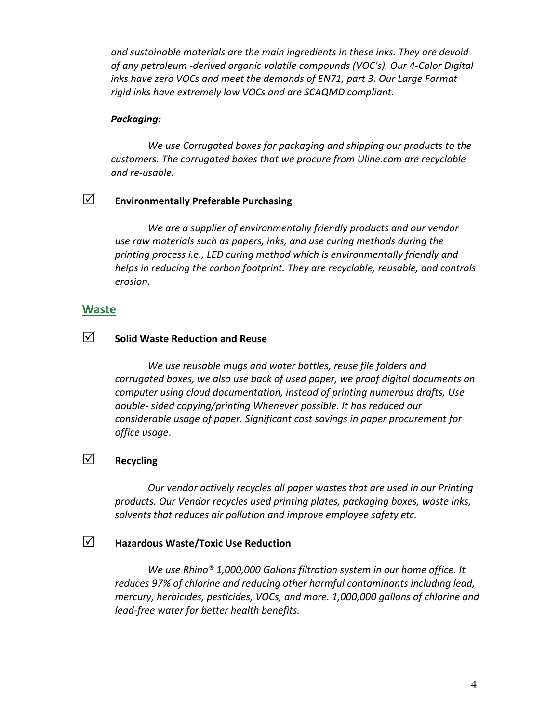*and sustainable materials are the main ingredients in these inks. They are devoid of any petroleum -derived organic volatile compounds (VOC's). Our 4-Color Digital inks have zero VOCs and meet the demands of EN71, part 3. Our Large Format rigid inks have extremely low VOCs and are SCAQMD compliant.*

#### *Packaging:*

*We use Corrugated boxes for packaging and shipping our products to the customers. The corrugated boxes that we procure from [Uline.com](https://www.uline.com/Grp_9/Corrugated-Boxes-200-Test) are recyclable and re-usable.* 

# **Environmentally Preferable Purchasing**

*We are a supplier of environmentally friendly products and our vendor use raw materials such as papers, inks, and use curing methods during the printing process i.e., LED curing method which is environmentally friendly and helps in reducing the carbon footprint. They are recyclable, reusable, and controls erosion.* 

#### **[Waste](http://www.mde.state.md.us/marylandgreen/Pages/Waste.aspx)**

# **Solid Waste Reduction and Reuse**

*We use reusable mugs and water bottles, reuse file folders and corrugated boxes, we also use back of used paper, we proof digital documents on computer using cloud documentation, instead of printing numerous drafts, Use double- sided copying/printing Whenever possible. It has reduced our considerable usage of paper. Significant cost savings in paper procurement for office usage*.

# **Recycling**

*Our vendor actively recycles all paper wastes that are used in our Printing products. Our Vendor recycles used printing plates, packaging boxes, waste inks, solvents that reduces air pollution and improve employee safety etc.* 

## **Hazardous Waste/Toxic Use Reduction**

*We use Rhino® 1,000,000 Gallons filtration system in our home office. It reduces 97% of chlorine and reducing other harmful contaminants including lead, mercury, herbicides, pesticides, VOCs, and more. 1,000,000 gallons of chlorine and lead-free water for better health benefits.*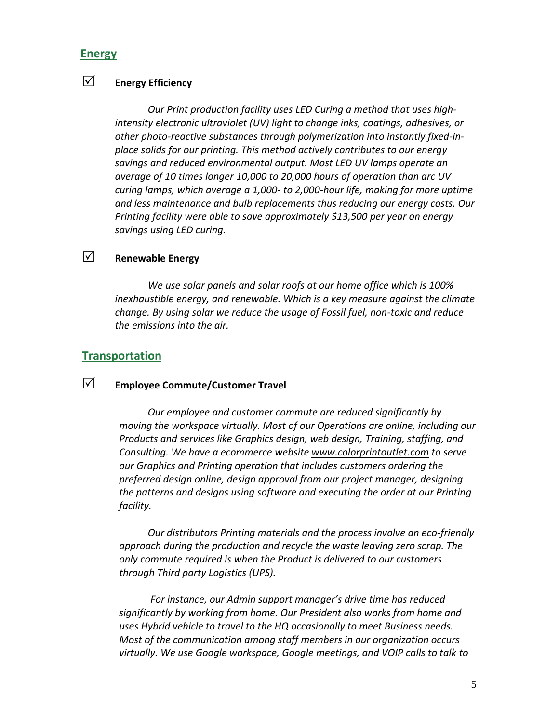#### **[Energy](http://www.mde.state.md.us/marylandgreen/Pages/Energy.aspx)**

# **Energy Efficiency**

*Our Print production facility uses LED Curing a method that uses highintensity electronic ultraviolet (UV) light to change inks, coatings, adhesives, or other photo-reactive substances through polymerization into instantly fixed-inplace solids for our printing. This method actively contributes to our energy savings and reduced environmental output. Most LED UV lamps operate an average of 10 times longer 10,000 to 20,000 hours of operation than arc UV curing lamps, which average a 1,000- to 2,000-hour life, making for more uptime and less maintenance and bulb replacements thus reducing our energy costs. Our Printing facility were able to save approximately \$13,500 per year on energy savings using LED curing.* 

# **Renewable Energy**

*We use solar panels and solar roofs at our home office which is 100% inexhaustible energy, and renewable. Which is a key measure against the climate change. By using solar we reduce the usage of Fossil fuel, non-toxic and reduce the emissions into the air.* 

#### **[Transportation](http://www.mde.state.md.us/marylandgreen/Pages/Transportation.aspx)**

## **Employee Commute/Customer Travel**

*Our employee and customer commute are reduced significantly by moving the workspace virtually. Most of our Operations are online, including our Products and services like Graphics design, web design, Training, staffing, and Consulting. We have a ecommerce website [www.colorprintoutlet.com](http://www.colorprintoutlet.com/) to serve our Graphics and Printing operation that includes customers ordering the preferred design online, design approval from our project manager, designing the patterns and designs using software and executing the order at our Printing facility.*

*Our distributors Printing materials and the process involve an eco-friendly approach during the production and recycle the waste leaving zero scrap. The only commute required is when the Product is delivered to our customers through Third party Logistics (UPS).*

*For instance, our Admin support manager's drive time has reduced significantly by working from home. Our President also works from home and uses Hybrid vehicle to travel to the HQ occasionally to meet Business needs. Most of the communication among staff members in our organization occurs virtually. We use Google workspace, Google meetings, and VOIP calls to talk to*